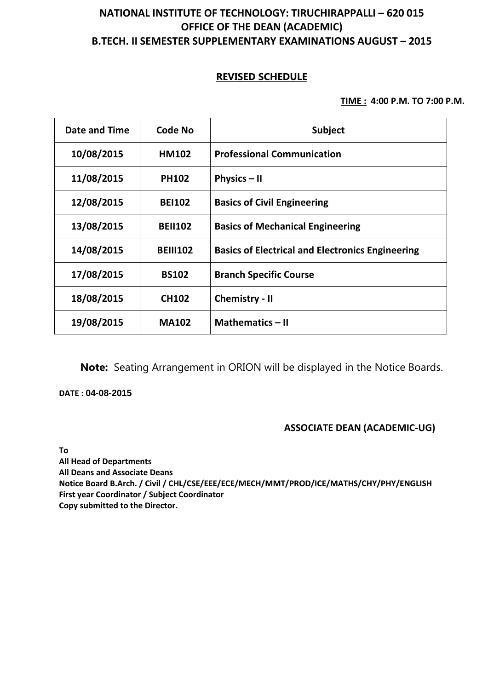# **NATIONAL INSTITUTE OF TECHNOLOGY: TIRUCHIRAPPALLI – 620 015 OFFICE OF THE DEAN (ACADEMIC) B.TECH. II SEMESTER SUPPLEMENTARY EXAMINATIONS AUGUST – 2015**

# **REVISED SCHEDULE**

**TIME : 4:00 P.M. TO 7:00 P.M.**

| Date and Time | Code No         | <b>Subject</b>                                          |
|---------------|-----------------|---------------------------------------------------------|
| 10/08/2015    | <b>HM102</b>    | <b>Professional Communication</b>                       |
| 11/08/2015    | <b>PH102</b>    | Physics $-$ II                                          |
| 12/08/2015    | <b>BEI102</b>   | <b>Basics of Civil Engineering</b>                      |
| 13/08/2015    | <b>BEII102</b>  | <b>Basics of Mechanical Engineering</b>                 |
| 14/08/2015    | <b>BEIII102</b> | <b>Basics of Electrical and Electronics Engineering</b> |
| 17/08/2015    | <b>BS102</b>    | <b>Branch Specific Course</b>                           |
| 18/08/2015    | <b>CH102</b>    | <b>Chemistry - II</b>                                   |
| 19/08/2015    | <b>MA102</b>    | <b>Mathematics - II</b>                                 |

**Note:** Seating Arrangement in ORION will be displayed in the Notice Boards.

**DATE : 04-08-2015**

### **ASSOCIATE DEAN (ACADEMIC-UG)**

**To**

**All Head of Departments All Deans and Associate Deans Notice Board B.Arch. / Civil / CHL/CSE/EEE/ECE/MECH/MMT/PROD/ICE/MATHS/CHY/PHY/ENGLISH First year Coordinator / Subject Coordinator Copy submitted to the Director.**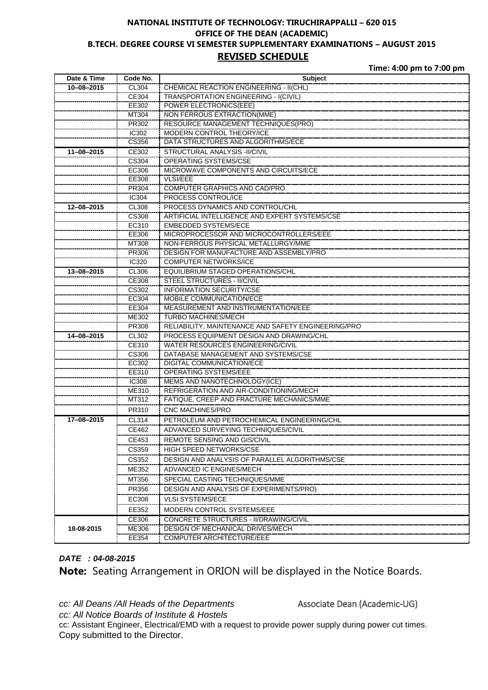# **NATIONAL INSTITUTE OF TECHNOLOGY: TIRUCHIRAPPALLI – 620 015 OFFICE OF THE DEAN (ACADEMIC) B.TECH. DEGREE COURSE VI SEMESTER SUPPLEMENTARY EXAMINATIONS – AUGUST 2015 REVISED SCHEDULE**

|                  |                | Time: 4:00 pm to 7:00 pm                                                       |
|------------------|----------------|--------------------------------------------------------------------------------|
| Date & Time      | Code No.       | <b>Subject</b>                                                                 |
| 10-08-2015       | CL304          | CHEMICAL REACTION ENGINEERING - II(CHL)                                        |
|                  | CE304          | <b>TRANSPORTATION ENGINEERING - I(CIVIL)</b>                                   |
|                  | EE302          | <b>POWER ELECTRONICS(EEE)</b>                                                  |
|                  | MT304          | NON FERROUS EXTRACTION(MME)                                                    |
|                  | PR302          | <b>RESOURCE MANAGEMENT TECHNIQUES(PRO)</b>                                     |
|                  | IC302          | MODERN CONTROL THEORY/ICE                                                      |
|                  | CS356          | DATA STRUCTURES AND ALGORITHMS/ECE                                             |
| 11-08-2015       | CE302          | STRUCTURAL ANALYSIS - II/CIVIL                                                 |
|                  | CS304          | <b>OPERATING SYSTEMS/CSE</b>                                                   |
|                  | EC306          | MICROWAVE COMPONENTS AND CIRCUITS/ECE                                          |
|                  | EE308          | <b>VLSI/EEE</b>                                                                |
|                  | PR304          | <b>COMPUTER GRAPHICS AND CAD/PRO</b>                                           |
|                  | <b>IC304</b>   | PROCESS CONTROL/ICE                                                            |
| 12-08-2015       | CL308          | PROCESS DYNAMICS AND CONTROL/CHL                                               |
|                  | CS308          | ARTIFICIAL INTELLIGENCE AND EXPERT SYSTEMS/CSE                                 |
|                  | EC310          | <b>EMBEDDED SYSTEMS/ECE</b>                                                    |
|                  | EE306<br>MT308 | MICROPROCESSOR AND MICROCONTROLLERS/EEE<br>NON-FERROUS PHYSICAL METALLURGY/MME |
|                  | PR306          | DESIGN FOR MANUFACTURE AND ASSEMBLY/PRO                                        |
|                  | IC320          | <b>COMPUTER NETWORKS/ICE</b>                                                   |
| 13-08-2015       | CL306          | EQUILIBRIUM STAGED OPERATIONS/CHL                                              |
|                  | <b>CE308</b>   | <b>STEEL STRUCTURES - II/CIVIL</b>                                             |
|                  | CS302          | <b>INFORMATION SECURITY/CSE</b>                                                |
|                  | EC304          | MOBILE COMMUNICATION/ECE                                                       |
|                  | EE304          | MEASUREMENT AND INSTRUMENTATION/EEE                                            |
|                  | ME302          | <b>TURBO MACHINES/MECH</b>                                                     |
|                  | PR308          | RELIABILITY, MAINTENANCE AND SAFETY ENGINEERING/PRO                            |
| $14 - 08 - 2015$ | CL302          | PROCESS EQUIPMENT DESIGN AND DRAWING/CHL                                       |
|                  | CE310          | <b>WATER RESOURCES ENGINEERING/CIVIL</b>                                       |
|                  | CS306          | DATABASE MANAGEMENT AND SYSTEMS/CSE                                            |
|                  | EC302          | DIGITAL COMMUNICATION/ECE                                                      |
|                  | EE310          | OPERATING SYSTEMS/EEE                                                          |
|                  | <b>IC308</b>   | MEMS AND NANOTECHNOLOGY(ICE)                                                   |
|                  | ME310          | REFRIGERATION AND AIR-CONDITIONING/MECH                                        |
|                  | MT312          | FATIQUE, CREEP AND FRACTURE MECHANICS/MME                                      |
|                  | PR310          | CNC MACHINES/PRO                                                               |
| 17-08-2015       | CL314          | PETROLEUM AND PETROCHEMICAL ENGINEERING/CHL                                    |
|                  | CE462          | ADVANCED SURVEYING TECHNIQUES/CIVIL                                            |
|                  | CE453          | REMOTE SENSING AND GIS/CIVIL                                                   |
|                  | CS359          | <b>HIGH SPEED NETWORKS/CSE</b>                                                 |
|                  | CS352          | DESIGN AND ANALYSIS OF PARALLEL ALGORITHMS/CSE                                 |
|                  | ME352          | ADVANCED IC ENGINES/MECH                                                       |
|                  | MT356          | SPECIAL CASTING TECHNIQUES/MME                                                 |
|                  | PR356          | DESIGN AND ANALYSIS OF EXPERIMENTS/PRO)                                        |
|                  |                |                                                                                |
|                  | EC308          | <b>VLSI SYSTEMS/ECE</b>                                                        |
|                  | EE352          | MODERN CONTROL SYSTEMS/EEE                                                     |
|                  | CE306          | CONCRETE STRUCTURES - II/DRAWING/CIVIL                                         |
| 18-08-2015       | ME306          | DESIGN OF MECHANICAL DRIVES/MECH                                               |
|                  | EE354          | COMPUTER ARCHITECTURE/EEE                                                      |

*DATE : 04-08-2015* 

**Note:** Seating Arrangement in ORION will be displayed in the Notice Boards.

*cc: All Deans /All Heads of the Departments* Associate Dean (Academic-UG)

*cc: All Notice Boards of Institute & Hostels* 

cc: Assistant Engineer, Electrical/EMD with a request to provide power supply during power cut times. Copy submitted to the Director.